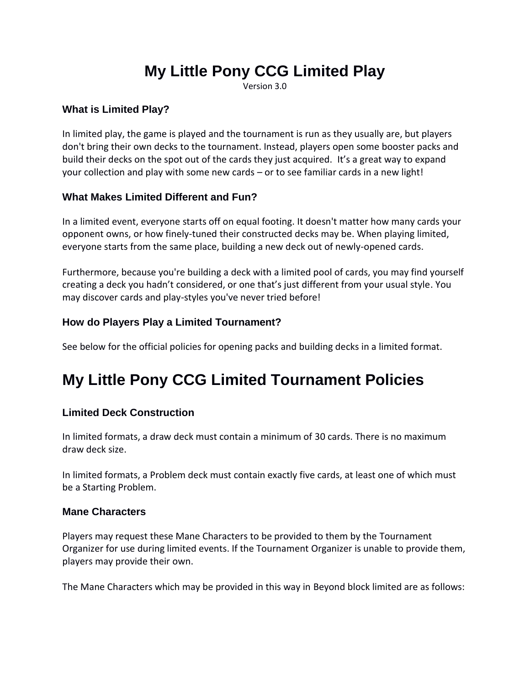# **My Little Pony CCG Limited Play**

Version 3.0

## **What is Limited Play?**

In limited play, the game is played and the tournament is run as they usually are, but players don't bring their own decks to the tournament. Instead, players open some booster packs and build their decks on the spot out of the cards they just acquired. It's a great way to expand your collection and play with some new cards – or to see familiar cards in a new light!

## **What Makes Limited Different and Fun?**

In a limited event, everyone starts off on equal footing. It doesn't matter how many cards your opponent owns, or how finely-tuned their constructed decks may be. When playing limited, everyone starts from the same place, building a new deck out of newly-opened cards.

Furthermore, because you're building a deck with a limited pool of cards, you may find yourself creating a deck you hadn't considered, or one that's just different from your usual style. You may discover cards and play-styles you've never tried before!

### **How do Players Play a Limited Tournament?**

See below for the official policies for opening packs and building decks in a limited format.

## **My Little Pony CCG Limited Tournament Policies**

## **Limited Deck Construction**

In limited formats, a draw deck must contain a minimum of 30 cards. There is no maximum draw deck size.

In limited formats, a Problem deck must contain exactly five cards, at least one of which must be a Starting Problem.

#### **Mane Characters**

Players may request these Mane Characters to be provided to them by the Tournament Organizer for use during limited events. If the Tournament Organizer is unable to provide them, players may provide their own.

The Mane Characters which may be provided in this way in Beyond block limited are as follows: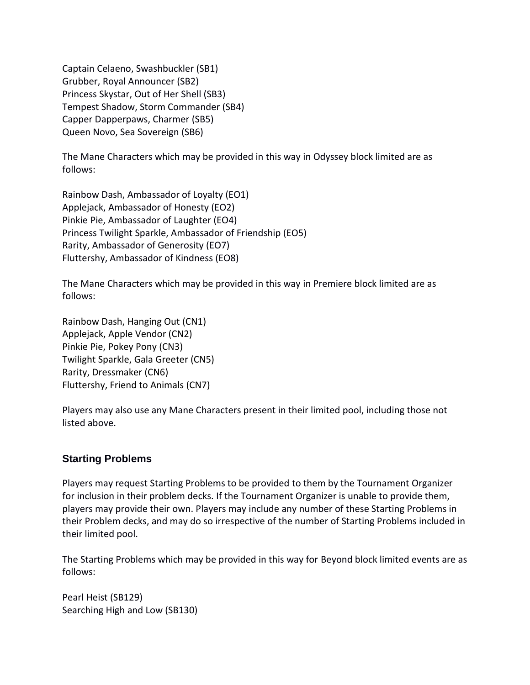Captain Celaeno, Swashbuckler (SB1) Grubber, Royal Announcer (SB2) Princess Skystar, Out of Her Shell (SB3) Tempest Shadow, Storm Commander (SB4) Capper Dapperpaws, Charmer (SB5) Queen Novo, Sea Sovereign (SB6)

The Mane Characters which may be provided in this way in Odyssey block limited are as follows:

Rainbow Dash, Ambassador of Loyalty (EO1) Applejack, Ambassador of Honesty (EO2) Pinkie Pie, Ambassador of Laughter (EO4) Princess Twilight Sparkle, Ambassador of Friendship (EO5) Rarity, Ambassador of Generosity (EO7) Fluttershy, Ambassador of Kindness (EO8)

The Mane Characters which may be provided in this way in Premiere block limited are as follows:

Rainbow Dash, Hanging Out (CN1) Applejack, Apple Vendor (CN2) Pinkie Pie, Pokey Pony (CN3) Twilight Sparkle, Gala Greeter (CN5) Rarity, Dressmaker (CN6) Fluttershy, Friend to Animals (CN7)

Players may also use any Mane Characters present in their limited pool, including those not listed above.

## **Starting Problems**

Players may request Starting Problems to be provided to them by the Tournament Organizer for inclusion in their problem decks. If the Tournament Organizer is unable to provide them, players may provide their own. Players may include any number of these Starting Problems in their Problem decks, and may do so irrespective of the number of Starting Problems included in their limited pool.

The Starting Problems which may be provided in this way for Beyond block limited events are as follows:

Pearl Heist (SB129) Searching High and Low (SB130)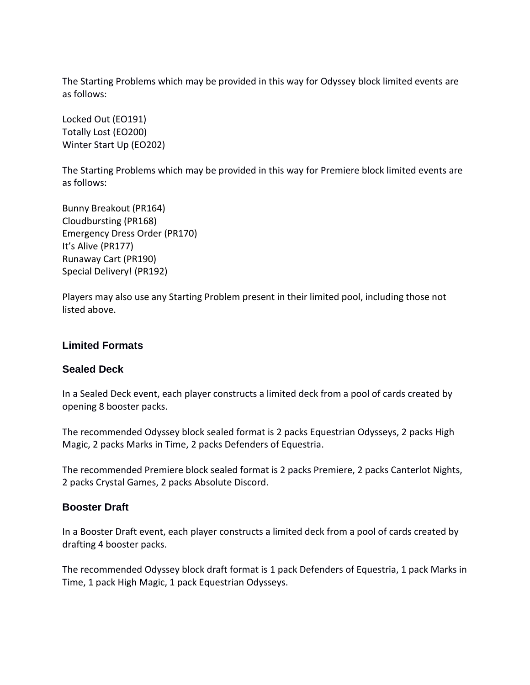The Starting Problems which may be provided in this way for Odyssey block limited events are as follows:

Locked Out (EO191) Totally Lost (EO200) Winter Start Up (EO202)

The Starting Problems which may be provided in this way for Premiere block limited events are as follows:

Bunny Breakout (PR164) Cloudbursting (PR168) Emergency Dress Order (PR170) It's Alive (PR177) Runaway Cart (PR190) Special Delivery! (PR192)

Players may also use any Starting Problem present in their limited pool, including those not listed above.

#### **Limited Formats**

#### **Sealed Deck**

In a Sealed Deck event, each player constructs a limited deck from a pool of cards created by opening 8 booster packs.

The recommended Odyssey block sealed format is 2 packs Equestrian Odysseys, 2 packs High Magic, 2 packs Marks in Time, 2 packs Defenders of Equestria.

The recommended Premiere block sealed format is 2 packs Premiere, 2 packs Canterlot Nights, 2 packs Crystal Games, 2 packs Absolute Discord.

#### **Booster Draft**

In a Booster Draft event, each player constructs a limited deck from a pool of cards created by drafting 4 booster packs.

The recommended Odyssey block draft format is 1 pack Defenders of Equestria, 1 pack Marks in Time, 1 pack High Magic, 1 pack Equestrian Odysseys.